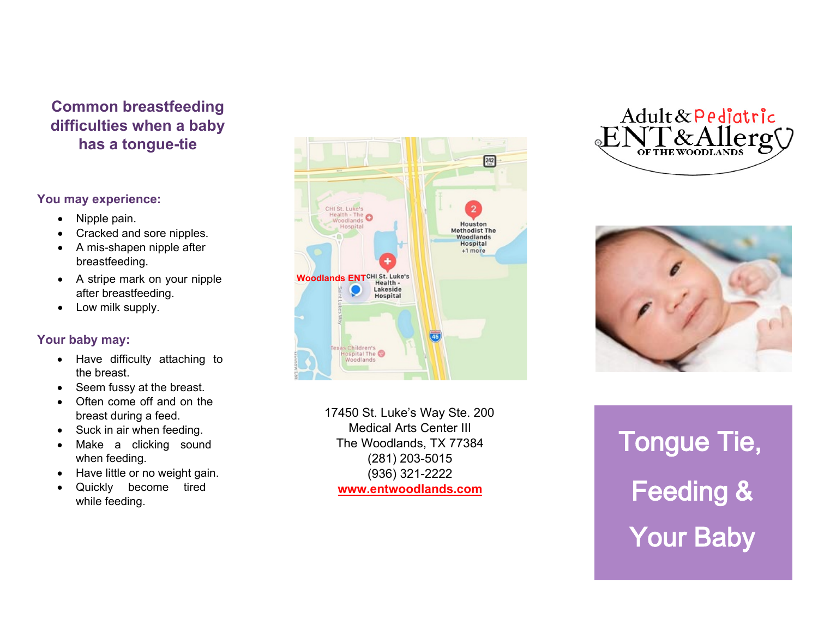## **Common breastfeeding difficulties when a baby has a tongue-tie**

## **You may experience:**

- Nipple pain.
- Cracked and sore nipples.
- A mis-shapen nipple after breastfeeding.
- A stripe mark on your nipple after breastfeeding.
- Low milk supply.

## **Your baby may:**

- Have difficulty attaching to the breast.
- Seem fussy at the breast.
- Often come off and on the breast during a feed.
- Suck in air when feeding.
- Make a clicking sound when feeding.
- Have little or no weight gain.
- Quickly become tired while feeding.



17450 St. Luke's Way Ste. 200 Medical Arts Center III The Woodlands, TX 77384 (281) 203-5015 (936) 321-2222 **www.entwoodlands.com**





Tongue Tie, Feeding & Your Baby